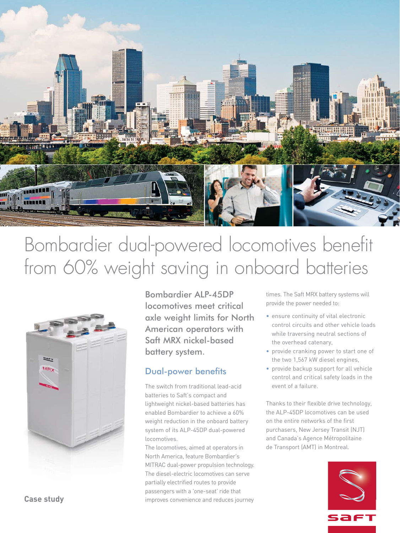

# Bombardier dual-powered locomotives benefit from 60% weight saving in onboard batteries



Bombardier ALP-45DP locomotives meet critical axle weight limits for North American operators with Saft MRX nickel-based battery system.

## Dual-power benefits

The switch from traditional lead-acid batteries to Saft's compact and lightweight nickel-based batteries has enabled Bombardier to achieve a 60% weight reduction in the onboard battery system of its ALP-45DP dual-powered locomotives.

The locomotives, aimed at operators in North America, feature Bombardier's MITRAC dual-power propulsion technology. The diesel-electric locomotives can serve partially electrified routes to provide passengers with a 'one-seat' ride that improves convenience and reduces journey times. The Saft MRX battery systems will provide the power needed to:

- ensure continuity of vital electronic control circuits and other vehicle loads while traversing neutral sections of the overhead catenary,
- provide cranking power to start one of the two 1,567 kW diesel engines,
- provide backup support for all vehicle control and critical safety loads in the event of a failure.

Thanks to their flexible drive technology, the ALP-45DP locomotives can be used on the entire networks of the first purchasers, New Jersey Transit (NJT) and Canada's Agence Métropolitaine de Transport (AMT) in Montreal.



**Case study**